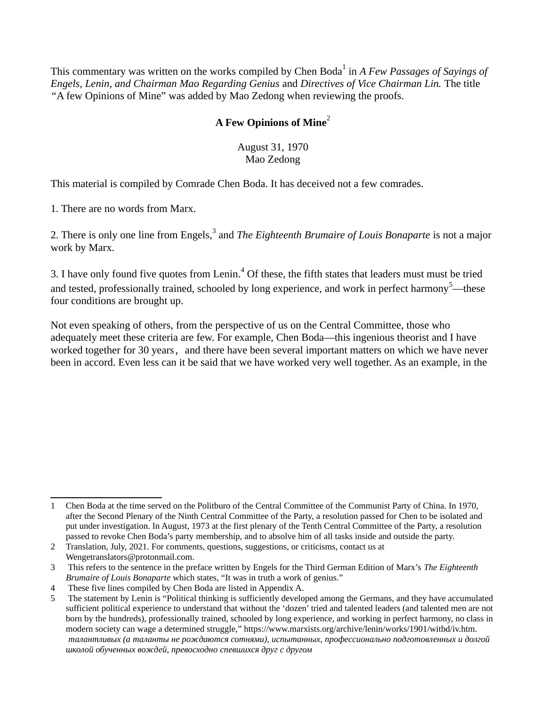This commentary was written on the works compiled by Chen Boda<sup>[1](#page-0-0)</sup> in *A Few Passages of Sayings of Engels, Lenin, and Chairman Mao Regarding Genius* and *Directives of Vice Chairman Lin.* The title *"*A few Opinions of Mine" was added by Mao Zedong when reviewing the proofs.

## **A Few Opinions of Mine**[2](#page-0-1)

August 31, 1970 Mao Zedong

This material is compiled by Comrade Chen Boda. It has deceived not a few comrades.

1. There are no words from Marx.

2. There is only one line from Engels,<sup>[3](#page-0-2)</sup> and *The Eighteenth Brumaire of Louis Bonaparte* is not a major work by Marx.

3. I have only found five quotes from Lenin.<sup>[4](#page-0-3)</sup> Of these, the fifth states that leaders must must be tried and tested, professionally trained, schooled by long experience, and work in perfect harmony<sup>[5](#page-0-4)</sup>—these four conditions are brought up.

Not even speaking of others, from the perspective of us on the Central Committee, those who adequately meet these criteria are few. For example, Chen Boda—this ingenious theorist and I have worked together for 30 years, and there have been several important matters on which we have never been in accord. Even less can it be said that we have worked very well together. As an example, in the

<span id="page-0-0"></span><sup>1</sup> Chen Boda at the time served on the Politburo of the Central Committee of the Communist Party of China. In 1970, after the Second Plenary of the Ninth Central Committee of the Party, a resolution passed for Chen to be isolated and put under investigation. In August, 1973 at the first plenary of the Tenth Central Committee of the Party, a resolution passed to revoke Chen Boda's party membership, and to absolve him of all tasks inside and outside the party.

<span id="page-0-1"></span><sup>2</sup> Translation, July, 2021. For comments, questions, suggestions, or criticisms, contact us at Wengetranslators@protonmail.com.

<span id="page-0-2"></span><sup>3</sup> This refers to the sentence in the preface written by Engels for the Third German Edition of Marx's *The Eighteenth Brumaire of Louis Bonaparte* which states, "It was in truth a work of genius."

<span id="page-0-3"></span><sup>4</sup> These five lines compiled by Chen Boda are listed in Appendix A.

<span id="page-0-4"></span><sup>5</sup> The statement by Lenin is "Political thinking is sufficiently developed among the Germans, and they have accumulated sufficient political experience to understand that without the 'dozen' tried and talented leaders (and talented men are not born by the hundreds), professionally trained, schooled by long experience, and working in perfect harmony, no class in modern society can wage a determined struggle," <https://www.marxists.org/archive/lenin/works/1901/witbd/iv.htm>*. талантливых (а таланты не рождаются сотнями), испытанных, профессионально подготовленных и долгой школой обученных вождей, превосходно спевшихся друг с другом*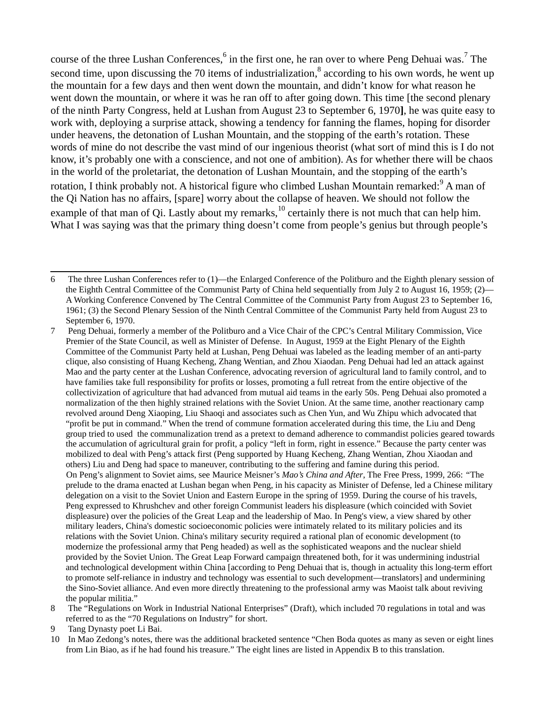course of the three Lushan Conferences,  $6$  in the first one, he ran over to where Peng Dehuai was.<sup>[7](#page-1-1)</sup> The second time, upon discussing the 70 items of industrialization,<sup>[8](#page-1-2)</sup> according to his own words, he went up the mountain for a few days and then went down the mountain, and didn't know for what reason he went down the mountain, or where it was he ran off to after going down. This time [the second plenary of the ninth Party Congress, held at Lushan from August 23 to September 6, 1970**]**, he was quite easy to work with, deploying a surprise attack, showing a tendency for fanning the flames, hoping for disorder under heavens, the detonation of Lushan Mountain, and the stopping of the earth's rotation. These words of mine do not describe the vast mind of our ingenious theorist (what sort of mind this is I do not know, it's probably one with a conscience, and not one of ambition). As for whether there will be chaos in the world of the proletariat, the detonation of Lushan Mountain, and the stopping of the earth's rotation, I think probably not. A historical figure who climbed Lushan Mountain remarked: $^9$  $^9$  A man of the Qi Nation has no affairs, [spare] worry about the collapse of heaven. We should not follow the example of that man of Qi. Lastly about my remarks,  $^{10}$  $^{10}$  $^{10}$  certainly there is not much that can help him. What I was saying was that the primary thing doesn't come from people's genius but through people's

<span id="page-1-2"></span>8 The "Regulations on Work in Industrial National Enterprises" (Draft), which included 70 regulations in total and was referred to as the "70 Regulations on Industry" for short.

<span id="page-1-4"></span>10 In Mao Zedong's notes, there was the additional bracketed sentence "Chen Boda quotes as many as seven or eight lines from Lin Biao, as if he had found his treasure." The eight lines are listed in Appendix B to this translation.

<span id="page-1-0"></span><sup>6</sup> The three Lushan Conferences refer to (1)—the Enlarged Conference of the Politburo and the Eighth plenary session of the Eighth Central Committee of the Communist Party of China held sequentially from July 2 to August 16, 1959; (2)— A Working Conference Convened by The Central Committee of the Communist Party from August 23 to September 16, 1961; (3) the Second Plenary Session of the Ninth Central Committee of the Communist Party held from August 23 to September 6, 1970.

<span id="page-1-1"></span><sup>7</sup> Peng Dehuai, formerly a member of the Politburo and a Vice Chair of the CPC's Central Military Commission, Vice Premier of the State Council, as well as Minister of Defense. In August, 1959 at the Eight Plenary of the Eighth Committee of the Communist Party held at Lushan, Peng Dehuai was labeled as the leading member of an anti-party clique, also consisting of Huang Kecheng, Zhang Wentian, and Zhou Xiaodan. Peng Dehuai had led an attack against Mao and the party center at the Lushan Conference, advocating reversion of agricultural land to family control, and to have families take full responsibility for profits or losses, promoting a full retreat from the entire objective of the collectivization of agriculture that had advanced from mutual aid teams in the early 50s. Peng Dehuai also promoted a normalization of the then highly strained relations with the Soviet Union. At the same time, another reactionary camp revolved around Deng Xiaoping, Liu Shaoqi and associates such as Chen Yun, and Wu Zhipu which advocated that "profit be put in command." When the trend of commune formation accelerated during this time, the Liu and Deng group tried to used the communalization trend as a pretext to demand adherence to commandist policies geared towards the accumulation of agricultural grain for profit, a policy "left in form, right in essence." Because the party center was mobilized to deal with Peng's attack first (Peng supported by Huang Kecheng, Zhang Wentian, Zhou Xiaodan and others) Liu and Deng had space to maneuver, contributing to the suffering and famine during this period. On Peng's alignment to Soviet aims, see Maurice Meisner's *Mao's China and After*, The Free Press, 1999, 266: *"*The prelude to the drama enacted at Lushan began when Peng, in his capacity as Minister of Defense, led a Chinese military delegation on a visit to the Soviet Union and Eastern Europe in the spring of 1959. During the course of his travels, Peng expressed to Khrushchev and other foreign Communist leaders his displeasure (which coincided with Soviet displeasure) over the policies of the Great Leap and the leadership of Mao. In Peng's view, a view shared by other military leaders, China's domestic socioeconomic policies were intimately related to its military policies and its relations with the Soviet Union. China's military security required a rational plan of economic development (to modernize the professional army that Peng headed) as well as the sophisticated weapons and the nuclear shield provided by the Soviet Union. The Great Leap Forward campaign threatened both, for it was undermining industrial and technological development within China [according to Peng Dehuai that is, though in actuality this long-term effort to promote self-reliance in industry and technology was essential to such development—translators] and undermining the Sino-Soviet alliance. And even more directly threatening to the professional army was Maoist talk about reviving the popular militia."

<span id="page-1-3"></span><sup>9</sup> Tang Dynasty poet Li Bai.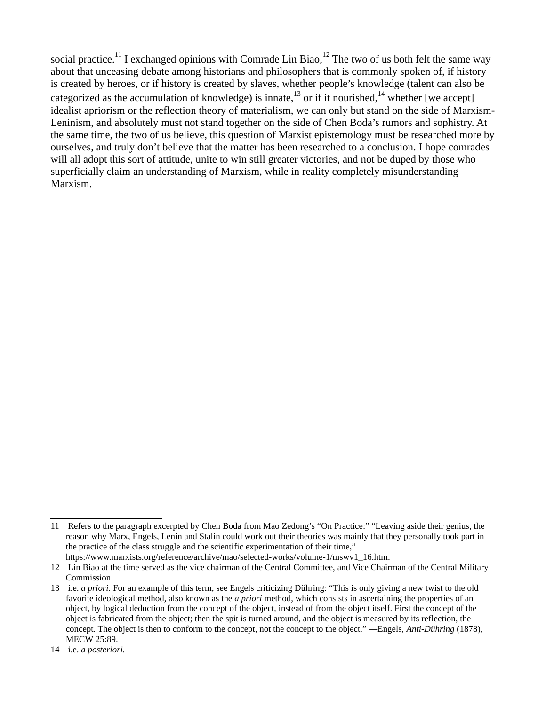social practice.<sup>[11](#page-2-0)</sup> I exchanged opinions with Comrade Lin Biao,<sup>[12](#page-2-1)</sup> The two of us both felt the same way about that unceasing debate among historians and philosophers that is commonly spoken of, if history is created by heroes, or if history is created by slaves, whether people's knowledge (talent can also be categorized as the accumulation of knowledge) is innate, $^{13}$  $^{13}$  $^{13}$  or if it nourished, $^{14}$  $^{14}$  $^{14}$  whether [we accept] idealist apriorism or the reflection theory of materialism, we can only but stand on the side of Marxism-Leninism, and absolutely must not stand together on the side of Chen Boda's rumors and sophistry. At the same time, the two of us believe, this question of Marxist epistemology must be researched more by ourselves, and truly don't believe that the matter has been researched to a conclusion. I hope comrades will all adopt this sort of attitude, unite to win still greater victories, and not be duped by those who superficially claim an understanding of Marxism, while in reality completely misunderstanding Marxism.

<span id="page-2-0"></span><sup>11</sup> Refers to the paragraph excerpted by Chen Boda from Mao Zedong's "On Practice:" "Leaving aside their genius, the reason why Marx, Engels, Lenin and Stalin could work out their theories was mainly that they personally took part in the practice of the class struggle and the scientific experimentation of their time,"

[https://www.marxists.org/reference/archive/mao/selected-works/volume-1/mswv1\\_16.htm](https://www.marxists.org/reference/archive/mao/selected-works/volume-1/mswv1_16.htmhttps://www.marxists.org/reference/archive/mao/selected-works/volume-1/mswv1_16.htm)*.*

<span id="page-2-1"></span><sup>12</sup> Lin Biao at the time served as the vice chairman of the Central Committee, and Vice Chairman of the Central Military Commission.

<span id="page-2-2"></span><sup>13</sup> i.e. *a priori.* For an example of this term, see Engels criticizing Dühring: "This is only giving a new twist to the old favorite ideological method, also known as the *a priori* method, which consists in ascertaining the properties of an object, by logical deduction from the concept of the object, instead of from the object itself. First the concept of the object is fabricated from the object; then the spit is turned around, and the object is measured by its reflection, the concept. The object is then to conform to the concept, not the concept to the object." —Engels, *Anti-Dühring* (1878), MECW 25:89.

<span id="page-2-3"></span><sup>14</sup> i.e. *a posteriori.*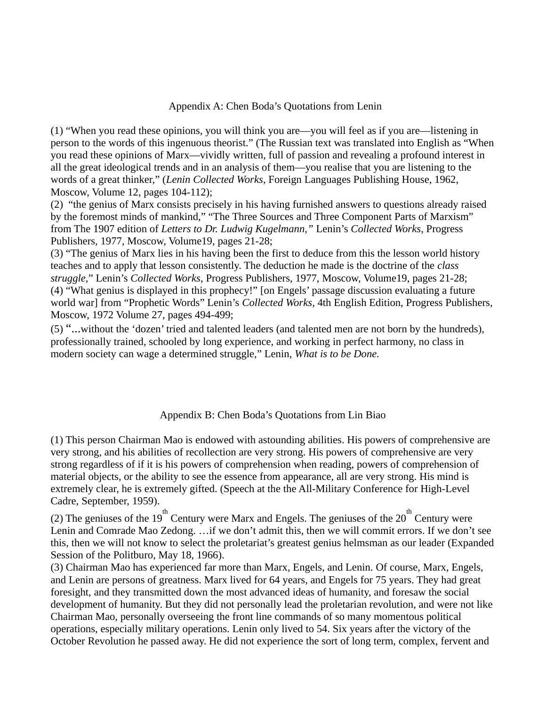## Appendix A: Chen Boda's Quotations from Lenin

(1) "When you read these opinions, you will think you are—you will feel as if you are—listening in person to the words of this ingenuous theorist." (The Russian text was translated into English as "When you read these opinions of Marx—vividly written, full of passion and revealing a profound interest in all the great ideological trends and in an analysis of them—you realise that you are listening to the words of a great thinker," (*Lenin Collected Works*, Foreign Languages Publishing House, 1962, Moscow, Volume 12, pages 104-112);

(2) "the genius of Marx consists precisely in his having furnished answers to questions already raised by the foremost minds of mankind," "The Three Sources and Three Component Parts of Marxism" from The 1907 edition of *Letters to Dr. Ludwig Kugelmann,"* Lenin's *Collected Works*, Progress Publishers, 1977, Moscow, Volume19, pages 21-28;

(3) "The genius of Marx lies in his having been the first to deduce from this the lesson world history teaches and to apply that lesson consistently. The deduction he made is the doctrine of the *class struggle,*" Lenin's *Collected Works*, Progress Publishers, 1977, Moscow, Volume19, pages 21-28; (4) "What genius is displayed in this prophecy!" [on Engels' passage discussion evaluating a future world war] from "Prophetic Words" Lenin's *Collected Works*, 4th English Edition, Progress Publishers, Moscow, 1972 Volume 27, pages 494-499;

(5) "...without the 'dozen' tried and talented leaders (and talented men are not born by the hundreds), professionally trained, schooled by long experience, and working in perfect harmony, no class in modern society can wage a determined struggle," Lenin, *What is to be Done.*

## Appendix B: Chen Boda's Quotations from Lin Biao

(1) This person Chairman Mao is endowed with astounding abilities. His powers of comprehensive are very strong, and his abilities of recollection are very strong. His powers of comprehensive are very strong regardless of if it is his powers of comprehension when reading, powers of comprehension of material objects, or the ability to see the essence from appearance, all are very strong. His mind is extremely clear, he is extremely gifted. (Speech at the the All-Military Conference for High-Level Cadre, September, 1959).

(2) The geniuses of the 19<sup>th</sup> Century were Marx and Engels. The geniuses of the 20<sup>th</sup> Century were Lenin and Comrade Mao Zedong. …if we don't admit this, then we will commit errors. If we don't see this, then we will not know to select the proletariat's greatest genius helmsman as our leader (Expanded Session of the Politburo, May 18, 1966).

(3) Chairman Mao has experienced far more than Marx, Engels, and Lenin. Of course, Marx, Engels, and Lenin are persons of greatness. Marx lived for 64 years, and Engels for 75 years. They had great foresight, and they transmitted down the most advanced ideas of humanity, and foresaw the social development of humanity. But they did not personally lead the proletarian revolution, and were not like Chairman Mao, personally overseeing the front line commands of so many momentous political operations, especially military operations. Lenin only lived to 54. Six years after the victory of the October Revolution he passed away. He did not experience the sort of long term, complex, fervent and